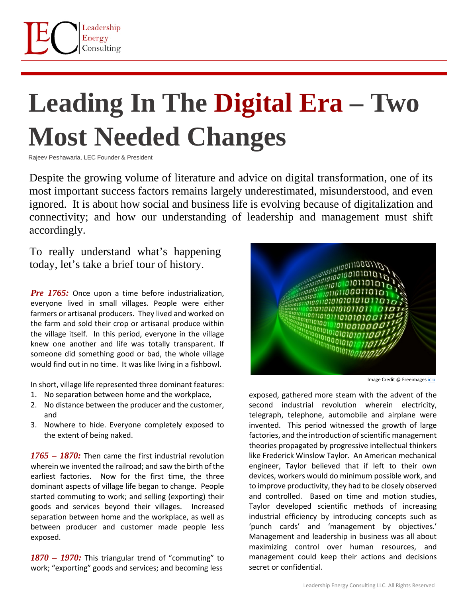## **Leading In The Digital Era – Two Most Needed Changes**

Rajeev Peshawaria, LEC Founder & President

Despite the growing volume of literature and advice on digital transformation, one of its most important success factors remains largely underestimated, misunderstood, and even ignored. It is about how social and business life is evolving because of digitalization and connectivity; and how our understanding of leadership and management must shift accordingly.

To really understand what's happening today, let's take a brief tour of history.

*Pre 1765:* Once upon a time before industrialization, everyone lived in small villages. People were either farmers or artisanal producers. They lived and worked on the farm and sold their crop or artisanal produce within the village itself. In this period, everyone in the village knew one another and life was totally transparent. If someone did something good or bad, the whole village would find out in no time. It was like living in a fishbowl.

In short, village life represented three dominant features:

- 1. No separation between home and the workplace,
- 2. No distance between the producer and the customer, and
- 3. Nowhere to hide. Everyone completely exposed to the extent of being naked.

*1765 – 1870:* Then came the first industrial revolution wherein we invented the railroad; and saw the birth of the earliest factories. Now for the first time, the three dominant aspects of village life began to change. People started commuting to work; and selling (exporting) their goods and services beyond their villages. Increased separation between home and the workplace, as well as between producer and customer made people less exposed.

*1870 – 1970:* This triangular trend of "commuting" to work; "exporting" goods and services; and becoming less



Image Credit @ Freeimages [iclo](https://www.freeimages.com/photo/digital-world-1241995)

exposed, gathered more steam with the advent of the second industrial revolution wherein electricity, telegraph, telephone, automobile and airplane were invented. This period witnessed the growth of large factories, and the introduction of scientific management theories propagated by progressive intellectual thinkers like Frederick Winslow Taylor. An American mechanical engineer, Taylor believed that if left to their own devices, workers would do minimum possible work, and to improve productivity, they had to be closely observed and controlled. Based on time and motion studies, Taylor developed scientific methods of increasing industrial efficiency by introducing concepts such as 'punch cards' and 'management by objectives.' Management and leadership in business was all about maximizing control over human resources, and management could keep their actions and decisions secret or confidential.